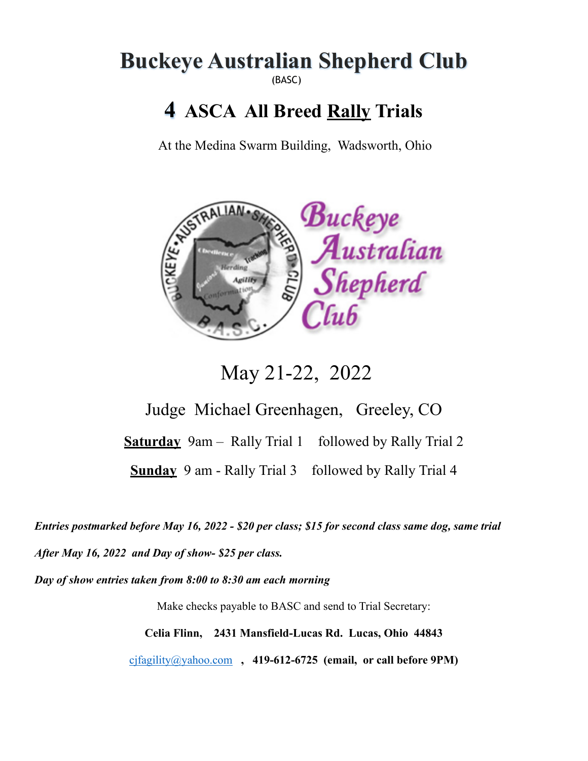# **Buckeye Australian Shepherd Club**

(BASC)

## **4 ASCA All Breed Rally Trials**

At the Medina Swarm Building, Wadsworth, Ohio



May 21-22, 2022

Judge Michael Greenhagen, Greeley, CO

**<u>Saturday</u>** 9am – Rally Trial 1 followed by Rally Trial 2

**Sunday** 9 am - Rally Trial 3 followed by Rally Trial 4

*Entries postmarked before May 16, 2022 - \$20 per class; \$15 for second class same dog, same trial After May 16, 2022 and Day of show- \$25 per class.* 

*Day of show entries taken from 8:00 to 8:30 am each morning*

Make checks payable to BASC and send to Trial Secretary:

**Celia Flinn, 2431 Mansfield-Lucas Rd. Lucas, Ohio 44843**

[cjfagility@yahoo.com](mailto:cjfagility@yahoo.com) **, 419-612-6725 (email, or call before 9PM)**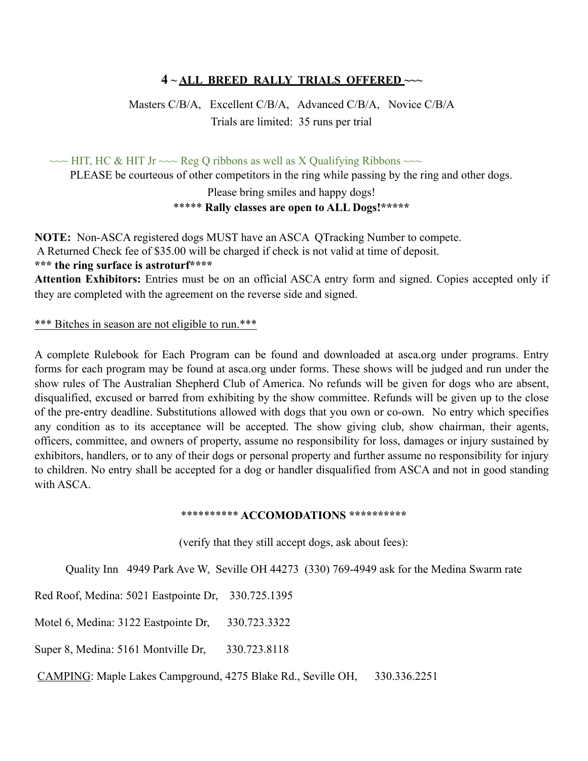### **4 ~ ALL BREED RALLY TRIALS OFFERED ~~~**

Masters C/B/A, Excellent C/B/A, Advanced C/B/A, Novice C/B/A Trials are limited: 35 runs per trial

 $\sim$  HIT, HC & HIT Jr  $\sim$  Reg O ribbons as well as X Qualifying Ribbons  $\sim$ 

PLEASE be courteous of other competitors in the ring while passing by the ring and other dogs.

Please bring smiles and happy dogs! \*\*\*\*\* **Rally classes are open to ALL Dogs!\*\*\*\*\***

**NOTE:** Non-ASCA registered dogs MUST have an ASCA QTracking Number to compete.

A Returned Check fee of \$35.00 will be charged if check is not valid at time of deposit.

**\*\*\* the ring surface is astroturf\*\*\*\***

**Attention Exhibitors:** Entries must be on an official ASCA entry form and signed. Copies accepted only if they are completed with the agreement on the reverse side and signed.

#### \*\*\* Bitches in season are not eligible to run.\*\*\*

A complete Rulebook for Each Program can be found and downloaded at asca.org under programs. Entry forms for each program may be found at asca.org under forms. These shows will be judged and run under the show rules of The Australian Shepherd Club of America. No refunds will be given for dogs who are absent, disqualified, excused or barred from exhibiting by the show committee. Refunds will be given up to the close of the pre-entry deadline. Substitutions allowed with dogs that you own or co-own. No entry which specifies any condition as to its acceptance will be accepted. The show giving club, show chairman, their agents, officers, committee, and owners of property, assume no responsibility for loss, damages or injury sustained by exhibitors, handlers, or to any of their dogs or personal property and further assume no responsibility for injury to children. No entry shall be accepted for a dog or handler disqualified from ASCA and not in good standing with ASCA

#### \*\*\*\*\*\*\*\*\*\* **ACCOMODATIONS \*\*\*\*\*\*\*\*\*\***

(verify that they still accept dogs, ask about fees):

Quality Inn 4949 Park Ave W, Seville OH 44273 (330) 769-4949 ask for the Medina Swarm rate

Red Roof, Medina: 5021 Eastpointe Dr, 330.725.1395

Motel 6, Medina: 3122 Eastpointe Dr, 330.723.3322

Super 8, Medina: 5161 Montville Dr, 330.723.8118

CAMPING: Maple Lakes Campground, 4275 Blake Rd., Seville OH, 330.336.2251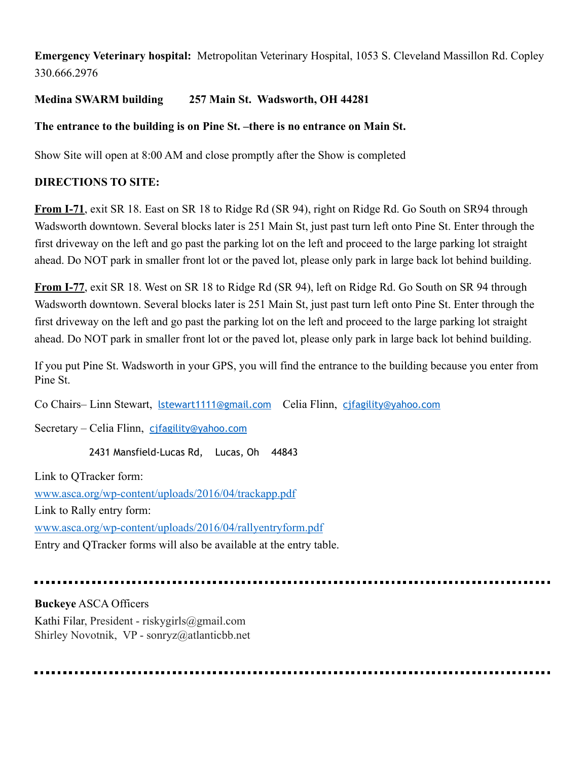**Emergency Veterinary hospital:** Metropolitan Veterinary Hospital, 1053 S. Cleveland Massillon Rd. Copley 330.666.2976

## **Medina SWARM building 257 Main St. Wadsworth, OH 44281**

## **The entrance to the building is on Pine St. –there is no entrance on Main St.**

Show Site will open at 8:00 AM and close promptly after the Show is completed

### **DIRECTIONS TO SITE:**

**From I-71**, exit SR 18. East on SR 18 to Ridge Rd (SR 94), right on Ridge Rd. Go South on SR94 through Wadsworth downtown. Several blocks later is 251 Main St, just past turn left onto Pine St. Enter through the first driveway on the left and go past the parking lot on the left and proceed to the large parking lot straight ahead. Do NOT park in smaller front lot or the paved lot, please only park in large back lot behind building.

**From I-77**, exit SR 18. West on SR 18 to Ridge Rd (SR 94), left on Ridge Rd. Go South on SR 94 through Wadsworth downtown. Several blocks later is 251 Main St, just past turn left onto Pine St. Enter through the first driveway on the left and go past the parking lot on the left and proceed to the large parking lot straight ahead. Do NOT park in smaller front lot or the paved lot, please only park in large back lot behind building.

If you put Pine St. Wadsworth in your GPS, you will find the entrance to the building because you enter from Pine St.

Co Chairs– Linn Stewart, lstewart1111@gmail.com Celia Flinn, cjfagility@yahoo.com

Secretary – Celia Flinn, cjfagility@yahoo.com

2431 Mansfield-Lucas Rd, Lucas, Oh 44843

Link to QTracker form:

www.asca.org/wp-content/uploads/2016/04/trackapp.pdf

Link to Rally entry form:

www.asca.org/wp-content/uploads/2016/04/rallyentryform.pdf

Entry and QTracker forms will also be available at the entry table.

## **Buckeye** ASCA Officers

Kathi Filar, President - riskygirls@gmail.com Shirley Novotnik, VP - sonryz@atlanticbb.net